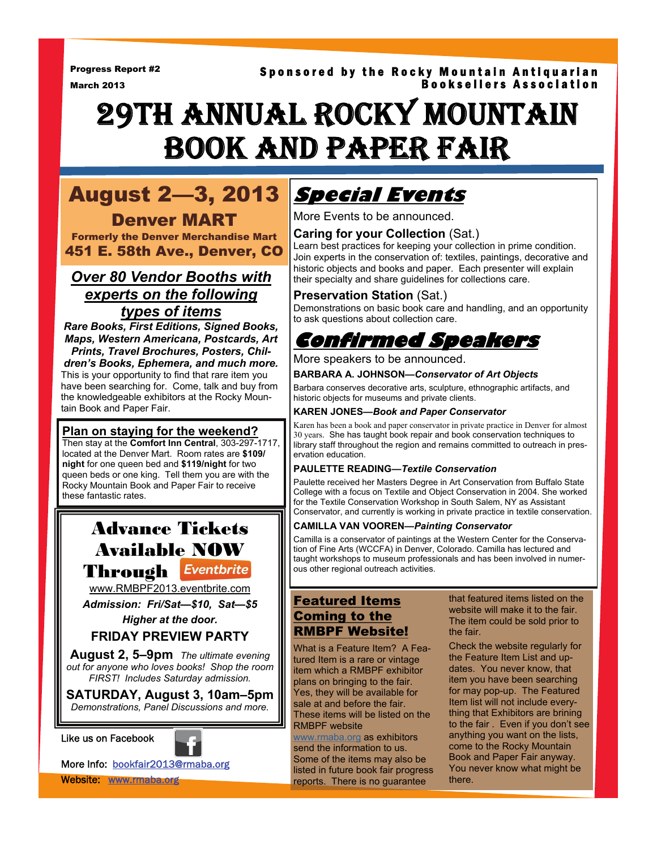Progress Report #2 March 2013

### Sponsored by the Rocky Mountain Antiquarian Booksellers Association

# 29TH ANNUAL ROCKY MOUNTAIN BOOK AND PAPER FAIR

# August 2—3, 2013 Denver MART

Formerly the Denver Merchandise Mart 451 E. 58th Ave., Denver, CO

# *Over 80 Vendor Booths with experts on the following types of items*

*Rare Books, First Editions, Signed Books, Maps, Western Americana, Postcards, Art Prints, Travel Brochures, Posters, Children's Books, Ephemera, and much more.* 

This is your opportunity to find that rare item you have been searching for. Come, talk and buy from the knowledgeable exhibitors at the Rocky Mountain Book and Paper Fair.

### **Plan on staying for the weekend?**

Then stay at the **Comfort Inn Central**, 303-297-1717, located at the Denver Mart. Room rates are **\$109/ night** for one queen bed and **\$119/night** for two queen beds or one king. Tell them you are with the Rocky Mountain Book and Paper Fair to receive these fantastic rates.

# Advance Tickets Available NOW Through Eventbrite

[www.RMBPF2013.eventbrite.com](http://www.rmbpf2013.eventbrite.com)

*Admission: Fri/Sat—\$10, Sat—\$5* 

*Higher at the door.* 

# **FRIDAY PREVIEW PARTY**

**August 2, 5–9pm** *The ultimate evening out for anyone who loves books! Shop the room FIRST! Includes Saturday admission.* 

**SATURDAY, August 3, 10am–5pm**  *Demonstrations, Panel Discussions and more.*

#### Like us on Facebook



More Info: bookfair2013@rmaba.org Website: www.rmaba.org

# **Special Events**

More Events to be announced.

### **Caring for your Collection** (Sat.)

Learn best practices for keeping your collection in prime condition. Join experts in the conservation of: textiles, paintings, decorative and historic objects and books and paper. Each presenter will explain their specialty and share guidelines for collections care.

#### **Preservation Station** (Sat.)

Demonstrations on basic book care and handling, and an opportunity to ask questions about collection care.

# **Confirmed Speakers**

#### More speakers to be announced.

#### **BARBARA A. JOHNSON—***Conservator of Art Objects*

Barbara conserves decorative arts, sculpture, ethnographic artifacts, and historic objects for museums and private clients.

#### **KAREN JONES—***Book and Paper Conservator*

Karen has been a book and paper conservator in private practice in Denver for almost 30 years. She has taught book repair and book conservation techniques to library staff throughout the region and remains committed to outreach in preservation education.

#### **PAULETTE READING—***Textile Conservation*

Paulette received her Masters Degree in Art Conservation from Buffalo State College with a focus on Textile and Object Conservation in 2004. She worked for the Textile Conservation Workshop in South Salem, NY as Assistant Conservator, and currently is working in private practice in textile conservation.

#### **CAMILLA VAN VOOREN—***Painting Conservator*

Camilla is a conservator of paintings at the Western Center for the Conservation of Fine Arts (WCCFA) in Denver, Colorado. Camilla has lectured and taught workshops to museum professionals and has been involved in numerous other regional outreach activities.

# Featured Items Coming to the RMBPF Website!

What is a Feature Item? A Featured Item is a rare or vintage item which a RMBPF exhibitor plans on bringing to the fair. Yes, they will be available for sale at and before the fair. These items will be listed on the RMBPF website

[www.rmaba.org](http://www.rmaba.org) as exhibitors send the information to us. Some of the items may also be listed in future book fair progress reports. There is no guarantee

that featured items listed on the website will make it to the fair. The item could be sold prior to the fair.

Check the website regularly for the Feature Item List and updates. You never know, that item you have been searching for may pop-up. The Featured Item list will not include everything that Exhibitors are brining to the fair . Even if you don't see anything you want on the lists, come to the Rocky Mountain Book and Paper Fair anyway. You never know what might be there.